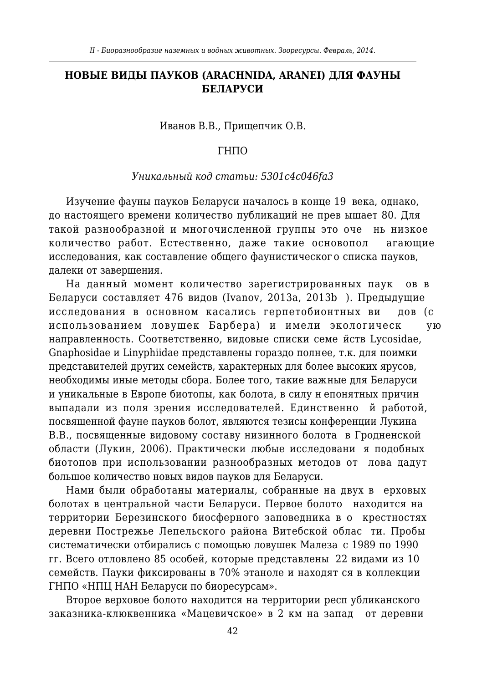## НОВЫЕ ВИДЫ ПАУКОВ (ARACHNIDA, ARANEI) ДЛЯ ФАУНЫ **БЕЛАРУСИ**

Иванов В.В., Прищепчик О.В.

## **THTO**

## Уникальный код статьи: 5301с4с046fa3

Изучение фауны пауков Беларуси началось в конце 19 века, однако, до настоящего времени количество публикаций не прев ышает 80. Для такой разнообразной и многочисленной группы это оче нь низкое количество работ. Естественно, даже такие основопол агаюшие исследования, как составление общего фаунистического списка пауков, далеки от завершения.

На данный момент количество зарегистрированных паук OB<sub>B</sub> Беларуси составляет 476 видов (Ivanov, 2013a, 2013b). Предыдущие исследования в основном касались герпетобионтных ви лов (с использованием ловушек Барбера) и имели экологическ  $V<sub>10</sub>$ направленность. Соответственно, видовые списки семе йств Lycosidae. Gnaphosidae и Linyphiidae представлены гораздо полнее, т.к. для поимки представителей других семейств, характерных для более высоких ярусов, необходимы иные методы сбора. Более того, такие важные для Беларуси и уникальные в Европе биотопы, как болота, в силу н епонятных причин выпадали из поля зрения исследователей. Единственно й работой, посвященной фауне пауков болот, являются тезисы конференции Лукина В.В., посвященные видовому составу низинного болота в Гродненской области (Лукин, 2006). Практически любые исследовани я подобных биотопов при использовании разнообразных методов от лова дадут большое количество новых видов пауков для Беларуси.

Нами были обработаны материалы, собранные на двух в ерховых болотах в центральной части Беларуси. Первое болото находится на территории Березинского биосферного заповедника в о крестностях деревни Пострежье Лепельского района Витебской облас ти. Пробы систематически отбирались с помощью ловушек Малеза с 1989 по 1990 гг. Всего отловлено 85 особей, которые представлены 22 видами из 10 семейств. Пауки фиксированы в 70% этаноле и находят ся в коллекции ГНПО «НПЦ НАН Беларуси по биоресурсам».

Второе верховое болото находится на территории респ убликанского заказника-клюквенника «Мацевичское» в 2 км на запад от деревни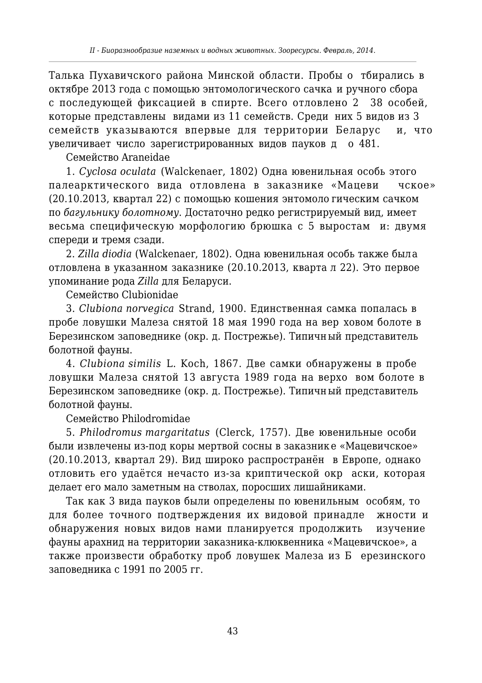Талька Пухавичского района Минской области. Пробы о тбирались в октябре 2013 года с помощью энтомологического сачка и ручного сбора с последующей фиксацией в спирте. Всего отловлено 2 38 особей, которые представлены видами из 11 семейств. Среди них 5 видов из 3 семейств указываются впервые для территории Беларус и, что увеличивает число зарегистрированных видов пауков д о 481.

Семейство Araneidae

1. *Cyclosa oculata* (Walckenaer, 1802) Одна ювенильная особь этого Палеарктического вида отловлена в заказнике «Мацеви чское» (20.10.2013, квартал 22) с помошью кошения энтомоло гическим сачком по *багульнику болотному*. Достаточно редко регистрируемый вид, имеет весьма специфическую морфологию брюшка с 5 выростам и: двумя спереди и тремя сзади.

2. *Zilla diodia* (Walckenaer, 1802). Одна ювенильная особь также была отловлена в указанном заказнике (20.10.2013, кварта л 22). Это первое упоминание рода Zilla для Беларуси.

Семейство Clubionidae

3. *Clubiona norvegica* Strand, 1900. Единственная самка попалась в пробе ловушки Малеза снятой 18 мая 1990 года на вер ховом болоте в Березинском заповеднике (окр. д. Пострежье). Типичный представитель болотной фауны.

4. *Clubiona similis* L. Koch, 1867. Две самки обнаружены в пробе ловушки Малеза снятой 13 августа 1989 года на верхо вом болоте в Березинском заповеднике (окр. д. Пострежье). Типичный представитель болотной фауны.

Семейство Philodromidae

5. Philodromus margaritatus (Clerck, 1757). Две ювенильные особи были извлечены из-под коры мертвой сосны в заказнике «Мацевичское» (20.10.2013, квартал 29). Вид широко распространён в Европе, однако отловить его удаётся нечасто из-за криптической окр аски, которая делает его мало заметным на стволах, поросших лишайниками.

Так как 3 вида пауков были определены по ювенильным особям, то для более точного подтверждения их видовой принадле жности и обнаружения новых видов нами планируется продолжить изучение фауны арахнид на территории заказника-клюквенника «Мацевичское», а также произвести обработку проб ловушек Малеза из Б ерезинского заповедника с 1991 по 2005 гг.